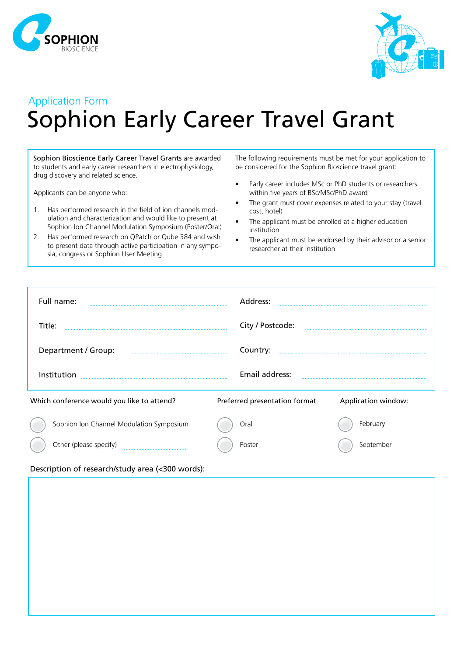



## Application Form Sophion Early Career Travel Grant

Sophion Bioscience Early Career Travel Grants are awarded to students and early career researchers in electrophysiology, drug discovery and related science.

Applicants can be anyone who:

- 1. Has performed research in the field of ion channels modulation and characterization and would like to present at Sophion Ion Channel Modulation Symposium (Poster/Oral)
- 2. Has performed research on QPatch or Qube 384 and wish to present data through active participation in any symposia, congress or Sophion User Meeting

The following requirements must be met for your application to be considered for the Sophion Bioscience travel grant:

- Early career includes MSc or PhD students or researchers within five years of BSc/MSc/PhD award
- The grant must cover expenses related to your stay (travel cost, hotel)
- The applicant must be enrolled at a higher education institution
- The applicant must be endorsed by their advisor or a senior researcher at their institution

| Full name:                                                                                                                                                                                                                                                                                                                                                                                     | Address:                      |                     |
|------------------------------------------------------------------------------------------------------------------------------------------------------------------------------------------------------------------------------------------------------------------------------------------------------------------------------------------------------------------------------------------------|-------------------------------|---------------------|
| Title:                                                                                                                                                                                                                                                                                                                                                                                         | City / Postcode:              |                     |
| Department / Group:                                                                                                                                                                                                                                                                                                                                                                            | Country:                      |                     |
| Institution                                                                                                                                                                                                                                                                                                                                                                                    | Email address:                |                     |
| Which conference would you like to attend?                                                                                                                                                                                                                                                                                                                                                     | Preferred presentation format | Application window: |
| Sophion Ion Channel Modulation Symposium                                                                                                                                                                                                                                                                                                                                                       | Oral                          | February            |
| Other (please specify)                                                                                                                                                                                                                                                                                                                                                                         | Poster                        | September           |
| $\epsilon$ and $\epsilon$ and $\epsilon$ and $\epsilon$ and $\epsilon$ and $\epsilon$ and $\epsilon$ and $\epsilon$ and $\epsilon$ and $\epsilon$ and $\epsilon$ and $\epsilon$ and $\epsilon$ and $\epsilon$ and $\epsilon$ and $\epsilon$ and $\epsilon$ and $\epsilon$ and $\epsilon$ and $\epsilon$ and $\epsilon$ and $\epsilon$ and $\epsilon$ and $\epsilon$ and $\epsilon$<br>$\cdots$ |                               |                     |

## Description of research/study area (<300 words):